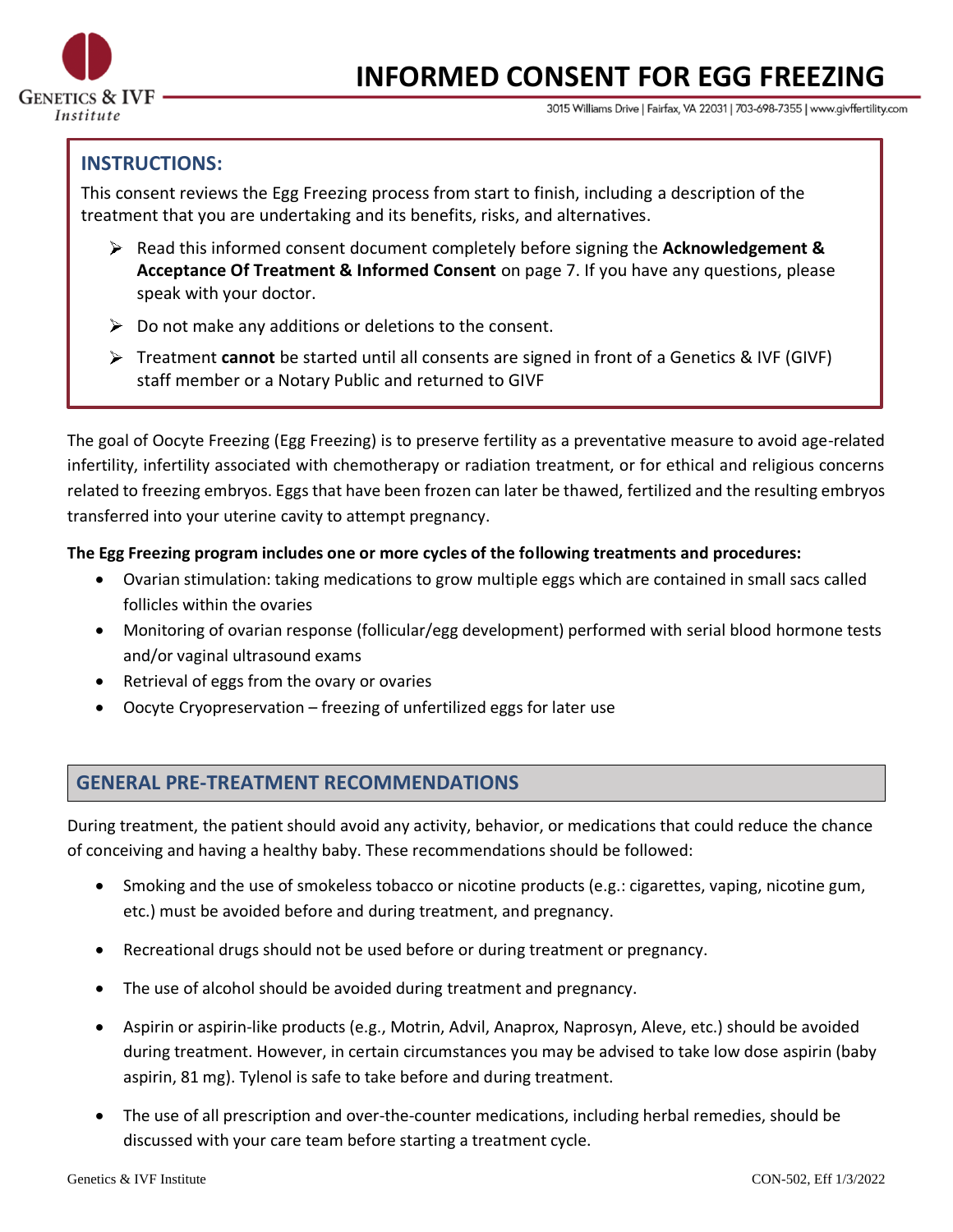

# **INFORMED CONSENT FOR EGG FREEZING**

3015 Williams Drive | Fairfax, VA 22031 | 703-698-7355 | www.givffertility.com

# **INSTRUCTIONS:**

This consent reviews the Egg Freezing process from start to finish, including a description of the treatment that you are undertaking and its benefits, risks, and alternatives.

- Read this informed consent document completely before signing the **Acknowledgement & Acceptance Of Treatment & Informed Consent** on page 7. If you have any questions, please speak with your doctor.
- $\triangleright$  Do not make any additions or deletions to the consent.
- Treatment **cannot** be started until all consents are signed in front of a Genetics & IVF (GIVF) staff member or a Notary Public and returned to GIVF

The goal of Oocyte Freezing (Egg Freezing) is to preserve fertility as a preventative measure to avoid age-related infertility, infertility associated with chemotherapy or radiation treatment, or for ethical and religious concerns related to freezing embryos. Eggs that have been frozen can later be thawed, fertilized and the resulting embryos transferred into your uterine cavity to attempt pregnancy.

### **The Egg Freezing program includes one or more cycles of the following treatments and procedures:**

- Ovarian stimulation: taking medications to grow multiple eggs which are contained in small sacs called follicles within the ovaries
- Monitoring of ovarian response (follicular/egg development) performed with serial blood hormone tests and/or vaginal ultrasound exams
- Retrieval of eggs from the ovary or ovaries
- Oocyte Cryopreservation freezing of unfertilized eggs for later use

## **GENERAL PRE-TREATMENT RECOMMENDATIONS**

During treatment, the patient should avoid any activity, behavior, or medications that could reduce the chance of conceiving and having a healthy baby. These recommendations should be followed:

- Smoking and the use of smokeless tobacco or nicotine products (e.g.: cigarettes, vaping, nicotine gum, etc.) must be avoided before and during treatment, and pregnancy.
- Recreational drugs should not be used before or during treatment or pregnancy.
- The use of alcohol should be avoided during treatment and pregnancy.
- Aspirin or aspirin-like products (e.g., Motrin, Advil, Anaprox, Naprosyn, Aleve, etc.) should be avoided during treatment. However, in certain circumstances you may be advised to take low dose aspirin (baby aspirin, 81 mg). Tylenol is safe to take before and during treatment.
- The use of all prescription and over-the-counter medications, including herbal remedies, should be discussed with your care team before starting a treatment cycle.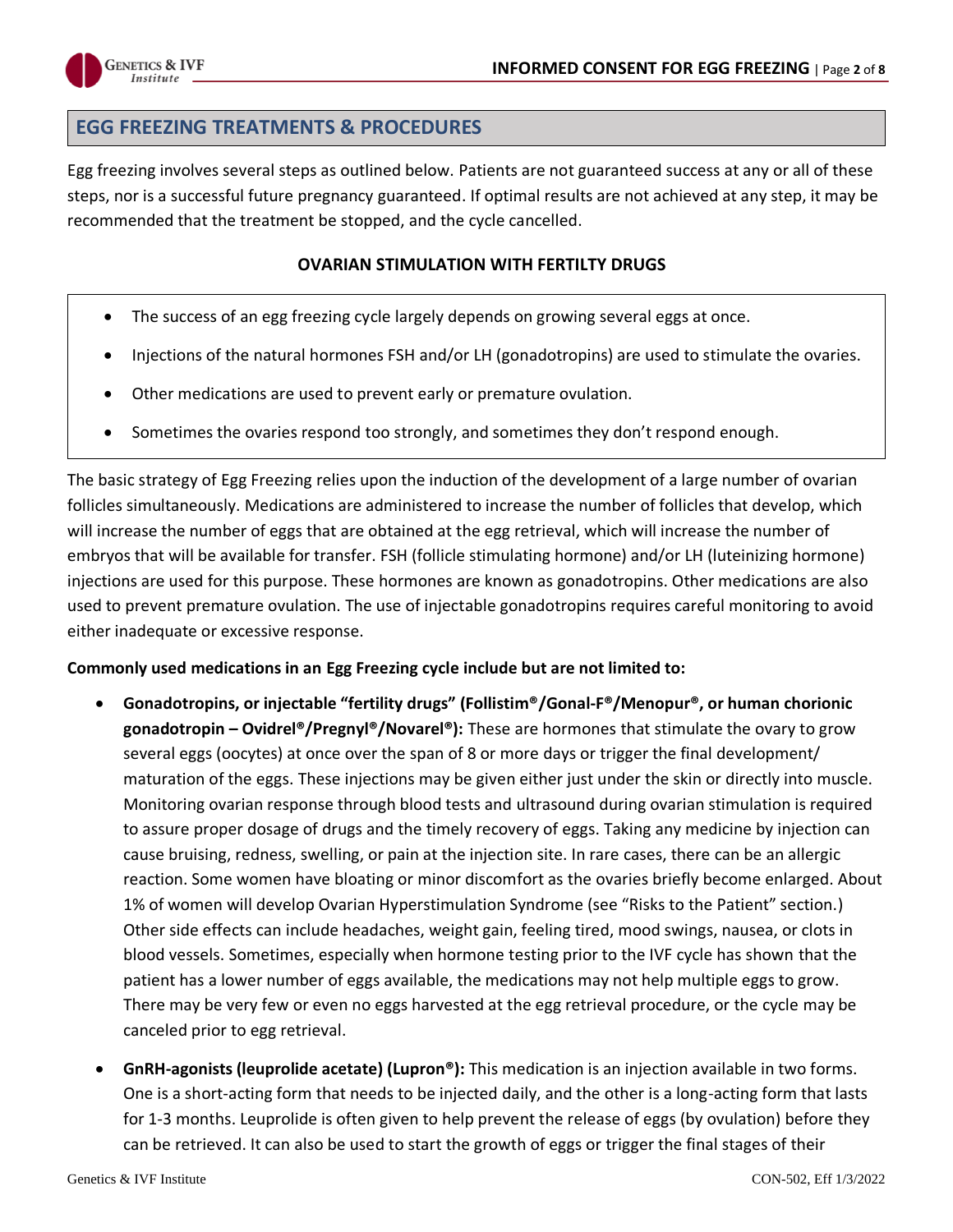

## **EGG FREEZING TREATMENTS & PROCEDURES**

Egg freezing involves several steps as outlined below. Patients are not guaranteed success at any or all of these steps, nor is a successful future pregnancy guaranteed. If optimal results are not achieved at any step, it may be recommended that the treatment be stopped, and the cycle cancelled.

#### **OVARIAN STIMULATION WITH FERTILTY DRUGS**

- The success of an egg freezing cycle largely depends on growing several eggs at once.
- Injections of the natural hormones FSH and/or LH (gonadotropins) are used to stimulate the ovaries.
- Other medications are used to prevent early or premature ovulation.
- Sometimes the ovaries respond too strongly, and sometimes they don't respond enough.

The basic strategy of Egg Freezing relies upon the induction of the development of a large number of ovarian follicles simultaneously. Medications are administered to increase the number of follicles that develop, which will increase the number of eggs that are obtained at the egg retrieval, which will increase the number of embryos that will be available for transfer. FSH (follicle stimulating hormone) and/or LH (luteinizing hormone) injections are used for this purpose. These hormones are known as gonadotropins. Other medications are also used to prevent premature ovulation. The use of injectable gonadotropins requires careful monitoring to avoid either inadequate or excessive response.

#### **Commonly used medications in an Egg Freezing cycle include but are not limited to:**

- **Gonadotropins, or injectable "fertility drugs" (Follistim®/Gonal-F®/Menopur®, or human chorionic gonadotropin – Ovidrel®/Pregnyl®/Novarel®):** These are hormones that stimulate the ovary to grow several eggs (oocytes) at once over the span of 8 or more days or trigger the final development/ maturation of the eggs. These injections may be given either just under the skin or directly into muscle. Monitoring ovarian response through blood tests and ultrasound during ovarian stimulation is required to assure proper dosage of drugs and the timely recovery of eggs. Taking any medicine by injection can cause bruising, redness, swelling, or pain at the injection site. In rare cases, there can be an allergic reaction. Some women have bloating or minor discomfort as the ovaries briefly become enlarged. About 1% of women will develop Ovarian Hyperstimulation Syndrome (see "Risks to the Patient" section.) Other side effects can include headaches, weight gain, feeling tired, mood swings, nausea, or clots in blood vessels. Sometimes, especially when hormone testing prior to the IVF cycle has shown that the patient has a lower number of eggs available, the medications may not help multiple eggs to grow. There may be very few or even no eggs harvested at the egg retrieval procedure, or the cycle may be canceled prior to egg retrieval.
- **GnRH-agonists (leuprolide acetate) (Lupron®):** This medication is an injection available in two forms. One is a short-acting form that needs to be injected daily, and the other is a long-acting form that lasts for 1-3 months. Leuprolide is often given to help prevent the release of eggs (by ovulation) before they can be retrieved. It can also be used to start the growth of eggs or trigger the final stages of their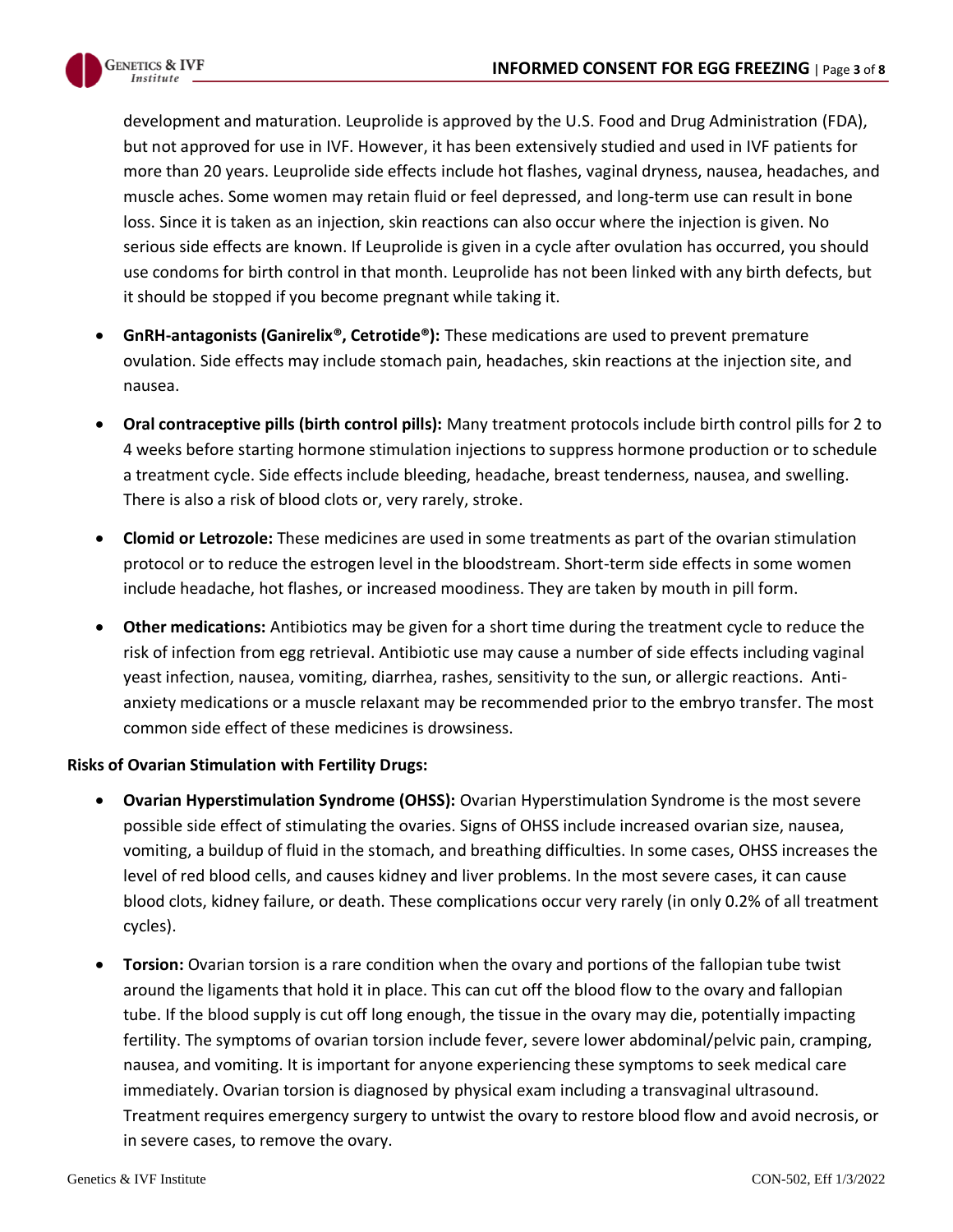

development and maturation. Leuprolide is approved by the U.S. Food and Drug Administration (FDA), but not approved for use in IVF. However, it has been extensively studied and used in IVF patients for more than 20 years. Leuprolide side effects include hot flashes, vaginal dryness, nausea, headaches, and muscle aches. Some women may retain fluid or feel depressed, and long-term use can result in bone loss. Since it is taken as an injection, skin reactions can also occur where the injection is given. No serious side effects are known. If Leuprolide is given in a cycle after ovulation has occurred, you should use condoms for birth control in that month. Leuprolide has not been linked with any birth defects, but it should be stopped if you become pregnant while taking it.

- **GnRH-antagonists (Ganirelix®, Cetrotide®):** These medications are used to prevent premature ovulation. Side effects may include stomach pain, headaches, skin reactions at the injection site, and nausea.
- **Oral contraceptive pills (birth control pills):** Many treatment protocols include birth control pills for 2 to 4 weeks before starting hormone stimulation injections to suppress hormone production or to schedule a treatment cycle. Side effects include bleeding, headache, breast tenderness, nausea, and swelling. There is also a risk of blood clots or, very rarely, stroke.
- **Clomid or Letrozole:** These medicines are used in some treatments as part of the ovarian stimulation protocol or to reduce the estrogen level in the bloodstream. Short-term side effects in some women include headache, hot flashes, or increased moodiness. They are taken by mouth in pill form.
- **Other medications:** Antibiotics may be given for a short time during the treatment cycle to reduce the risk of infection from egg retrieval. Antibiotic use may cause a number of side effects including vaginal yeast infection, nausea, vomiting, diarrhea, rashes, sensitivity to the sun, or allergic reactions. Antianxiety medications or a muscle relaxant may be recommended prior to the embryo transfer. The most common side effect of these medicines is drowsiness.

#### **Risks of Ovarian Stimulation with Fertility Drugs:**

- **Ovarian Hyperstimulation Syndrome (OHSS):** Ovarian Hyperstimulation Syndrome is the most severe possible side effect of stimulating the ovaries. Signs of OHSS include increased ovarian size, nausea, vomiting, a buildup of fluid in the stomach, and breathing difficulties. In some cases, OHSS increases the level of red blood cells, and causes kidney and liver problems. In the most severe cases, it can cause blood clots, kidney failure, or death. These complications occur very rarely (in only 0.2% of all treatment cycles).
- **Torsion:** Ovarian torsion is a rare condition when the ovary and portions of the fallopian tube twist around the ligaments that hold it in place. This can cut off the blood flow to the ovary and fallopian tube. If the blood supply is cut off long enough, the tissue in the ovary may die, potentially impacting fertility. The symptoms of ovarian torsion include fever, severe lower abdominal/pelvic pain, cramping, nausea, and vomiting. It is important for anyone experiencing these symptoms to seek medical care immediately. Ovarian torsion is diagnosed by physical exam including a transvaginal ultrasound. Treatment requires emergency surgery to untwist the ovary to restore blood flow and avoid necrosis, or in severe cases, to remove the ovary.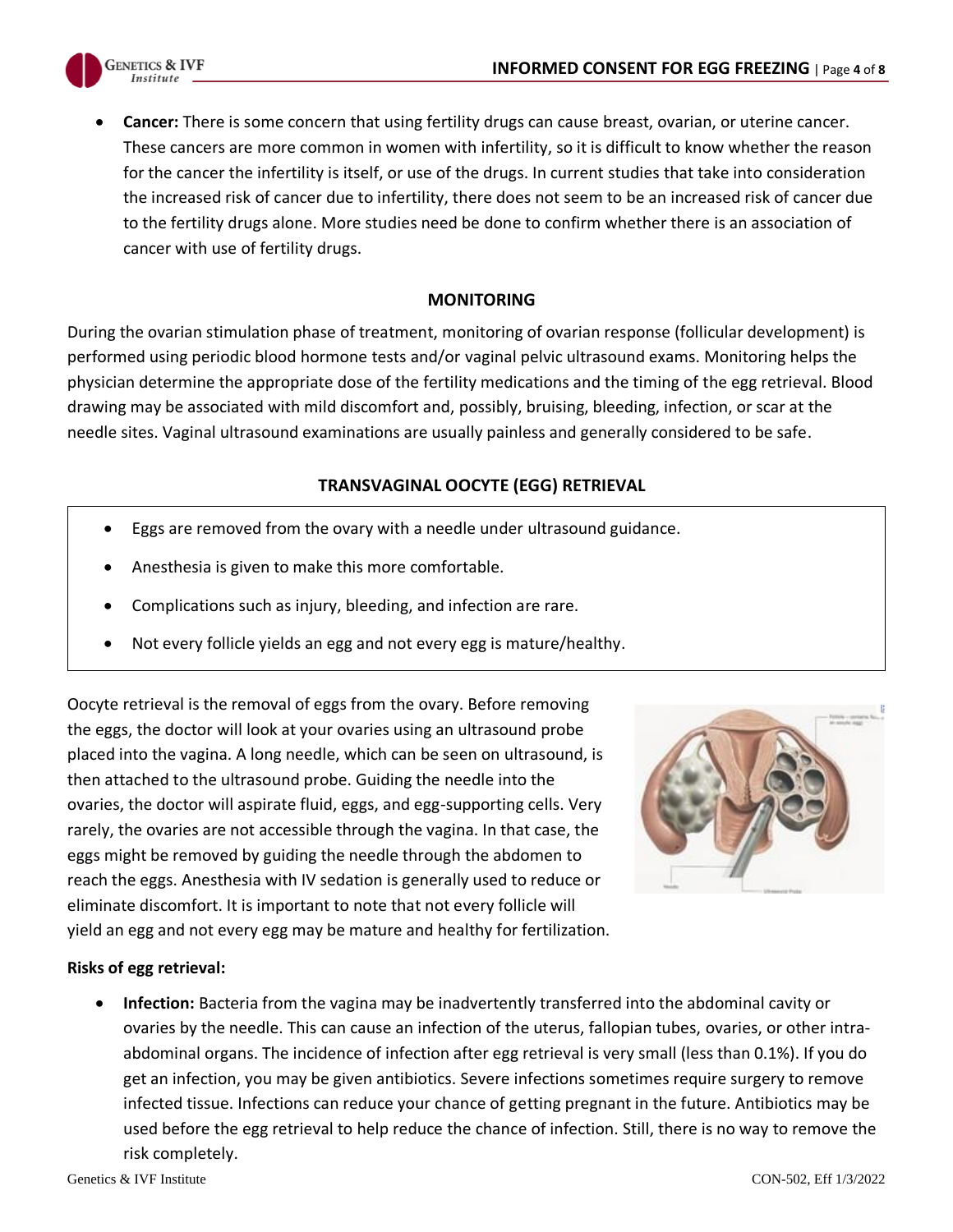

• **Cancer:** There is some concern that using fertility drugs can cause breast, ovarian, or uterine cancer. These cancers are more common in women with infertility, so it is difficult to know whether the reason for the cancer the infertility is itself, or use of the drugs. In current studies that take into consideration the increased risk of cancer due to infertility, there does not seem to be an increased risk of cancer due to the fertility drugs alone. More studies need be done to confirm whether there is an association of cancer with use of fertility drugs.

#### **MONITORING**

During the ovarian stimulation phase of treatment, monitoring of ovarian response (follicular development) is performed using periodic blood hormone tests and/or vaginal pelvic ultrasound exams. Monitoring helps the physician determine the appropriate dose of the fertility medications and the timing of the egg retrieval. Blood drawing may be associated with mild discomfort and, possibly, bruising, bleeding, infection, or scar at the needle sites. Vaginal ultrasound examinations are usually painless and generally considered to be safe.

#### **TRANSVAGINAL OOCYTE (EGG) RETRIEVAL**

- Eggs are removed from the ovary with a needle under ultrasound guidance.
- Anesthesia is given to make this more comfortable.
- Complications such as injury, bleeding, and infection are rare.
- Not every follicle yields an egg and not every egg is mature/healthy.

Oocyte retrieval is the removal of eggs from the ovary. Before removing the eggs, the doctor will look at your ovaries using an ultrasound probe placed into the vagina. A long needle, which can be seen on ultrasound, is then attached to the ultrasound probe. Guiding the needle into the ovaries, the doctor will aspirate fluid, eggs, and egg-supporting cells. Very rarely, the ovaries are not accessible through the vagina. In that case, the eggs might be removed by guiding the needle through the abdomen to reach the eggs. Anesthesia with IV sedation is generally used to reduce or eliminate discomfort. It is important to note that not every follicle will yield an egg and not every egg may be mature and healthy for fertilization.



#### **Risks of egg retrieval:**

• **Infection:** Bacteria from the vagina may be inadvertently transferred into the abdominal cavity or ovaries by the needle. This can cause an infection of the uterus, fallopian tubes, ovaries, or other intraabdominal organs. The incidence of infection after egg retrieval is very small (less than 0.1%). If you do get an infection, you may be given antibiotics. Severe infections sometimes require surgery to remove infected tissue. Infections can reduce your chance of getting pregnant in the future. Antibiotics may be used before the egg retrieval to help reduce the chance of infection. Still, there is no way to remove the risk completely.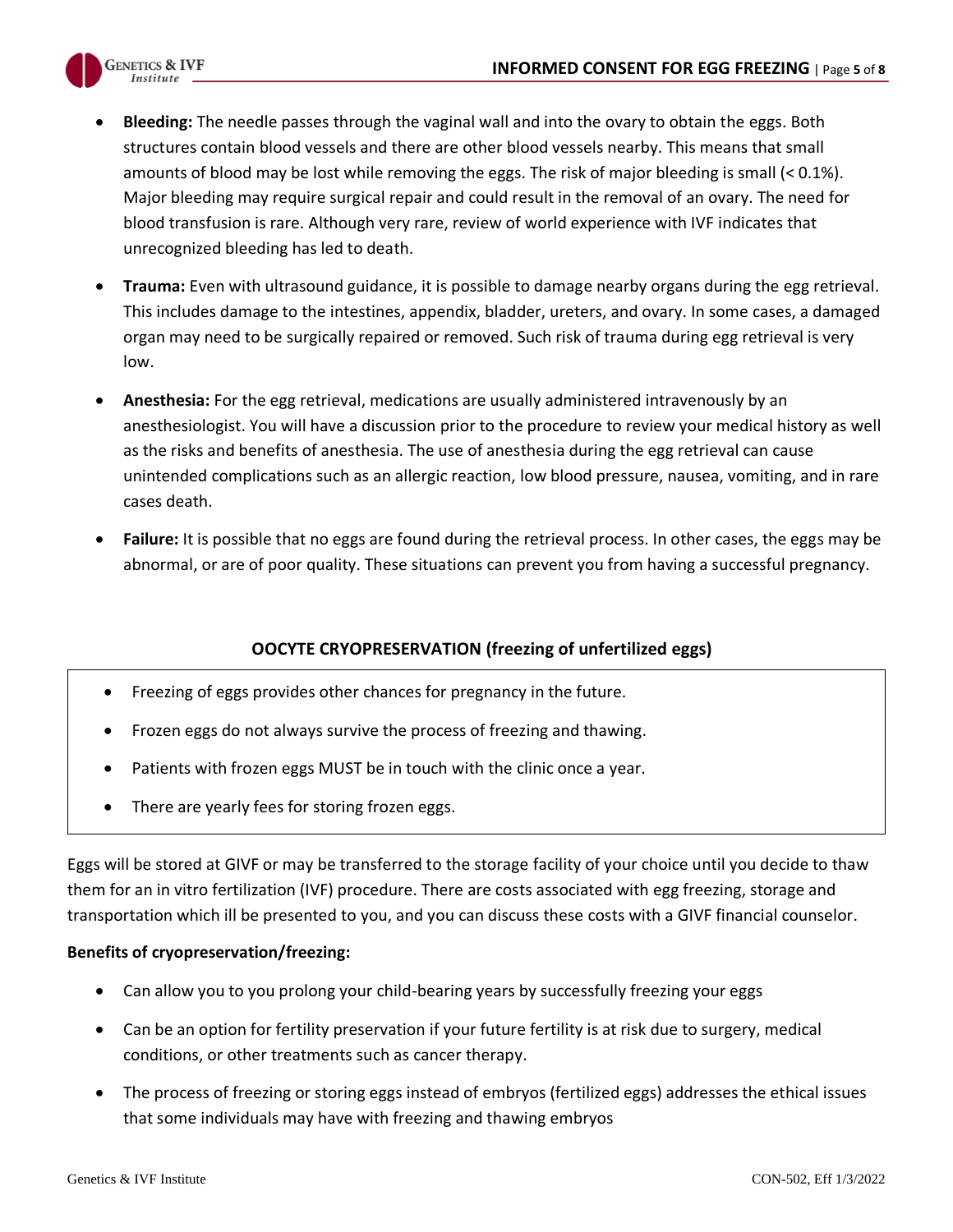

- **Bleeding:** The needle passes through the vaginal wall and into the ovary to obtain the eggs. Both structures contain blood vessels and there are other blood vessels nearby. This means that small amounts of blood may be lost while removing the eggs. The risk of major bleeding is small (< 0.1%). Major bleeding may require surgical repair and could result in the removal of an ovary. The need for blood transfusion is rare. Although very rare, review of world experience with IVF indicates that unrecognized bleeding has led to death.
- **Trauma:** Even with ultrasound guidance, it is possible to damage nearby organs during the egg retrieval. This includes damage to the intestines, appendix, bladder, ureters, and ovary. In some cases, a damaged organ may need to be surgically repaired or removed. Such risk of trauma during egg retrieval is very low.
- **Anesthesia:** For the egg retrieval, medications are usually administered intravenously by an anesthesiologist. You will have a discussion prior to the procedure to review your medical history as well as the risks and benefits of anesthesia. The use of anesthesia during the egg retrieval can cause unintended complications such as an allergic reaction, low blood pressure, nausea, vomiting, and in rare cases death.
- **Failure:** It is possible that no eggs are found during the retrieval process. In other cases, the eggs may be abnormal, or are of poor quality. These situations can prevent you from having a successful pregnancy.

## **OOCYTE CRYOPRESERVATION (freezing of unfertilized eggs)**

- Freezing of eggs provides other chances for pregnancy in the future.
- Frozen eggs do not always survive the process of freezing and thawing.
- Patients with frozen eggs MUST be in touch with the clinic once a year.
- There are yearly fees for storing frozen eggs.

Eggs will be stored at GIVF or may be transferred to the storage facility of your choice until you decide to thaw them for an in vitro fertilization (IVF) procedure. There are costs associated with egg freezing, storage and transportation which ill be presented to you, and you can discuss these costs with a GIVF financial counselor.

#### **Benefits of cryopreservation/freezing:**

- Can allow you to you prolong your child-bearing years by successfully freezing your eggs
- Can be an option for fertility preservation if your future fertility is at risk due to surgery, medical conditions, or other treatments such as cancer therapy.
- The process of freezing or storing eggs instead of embryos (fertilized eggs) addresses the ethical issues that some individuals may have with freezing and thawing embryos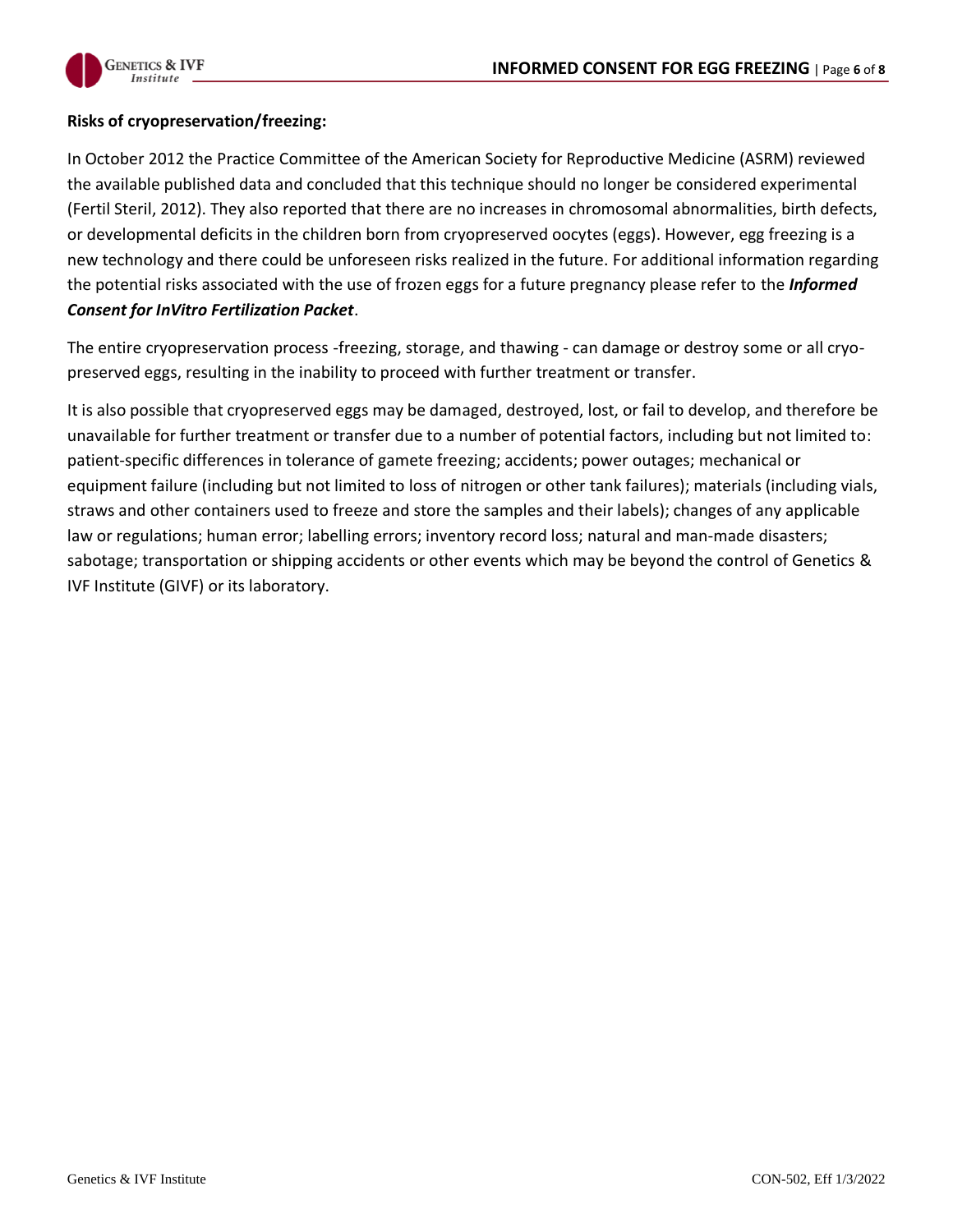

#### **Risks of cryopreservation/freezing:**

In October 2012 the Practice Committee of the American Society for Reproductive Medicine (ASRM) reviewed the available published data and concluded that this technique should no longer be considered experimental (Fertil Steril, 2012). They also reported that there are no increases in chromosomal abnormalities, birth defects, or developmental deficits in the children born from cryopreserved oocytes (eggs). However, egg freezing is a new technology and there could be unforeseen risks realized in the future. For additional information regarding the potential risks associated with the use of frozen eggs for a future pregnancy please refer to the *Informed Consent for InVitro Fertilization Packet*.

The entire cryopreservation process -freezing, storage, and thawing - can damage or destroy some or all cryopreserved eggs, resulting in the inability to proceed with further treatment or transfer.

It is also possible that cryopreserved eggs may be damaged, destroyed, lost, or fail to develop, and therefore be unavailable for further treatment or transfer due to a number of potential factors, including but not limited to: patient-specific differences in tolerance of gamete freezing; accidents; power outages; mechanical or equipment failure (including but not limited to loss of nitrogen or other tank failures); materials (including vials, straws and other containers used to freeze and store the samples and their labels); changes of any applicable law or regulations; human error; labelling errors; inventory record loss; natural and man-made disasters; sabotage; transportation or shipping accidents or other events which may be beyond the control of Genetics & IVF Institute (GIVF) or its laboratory.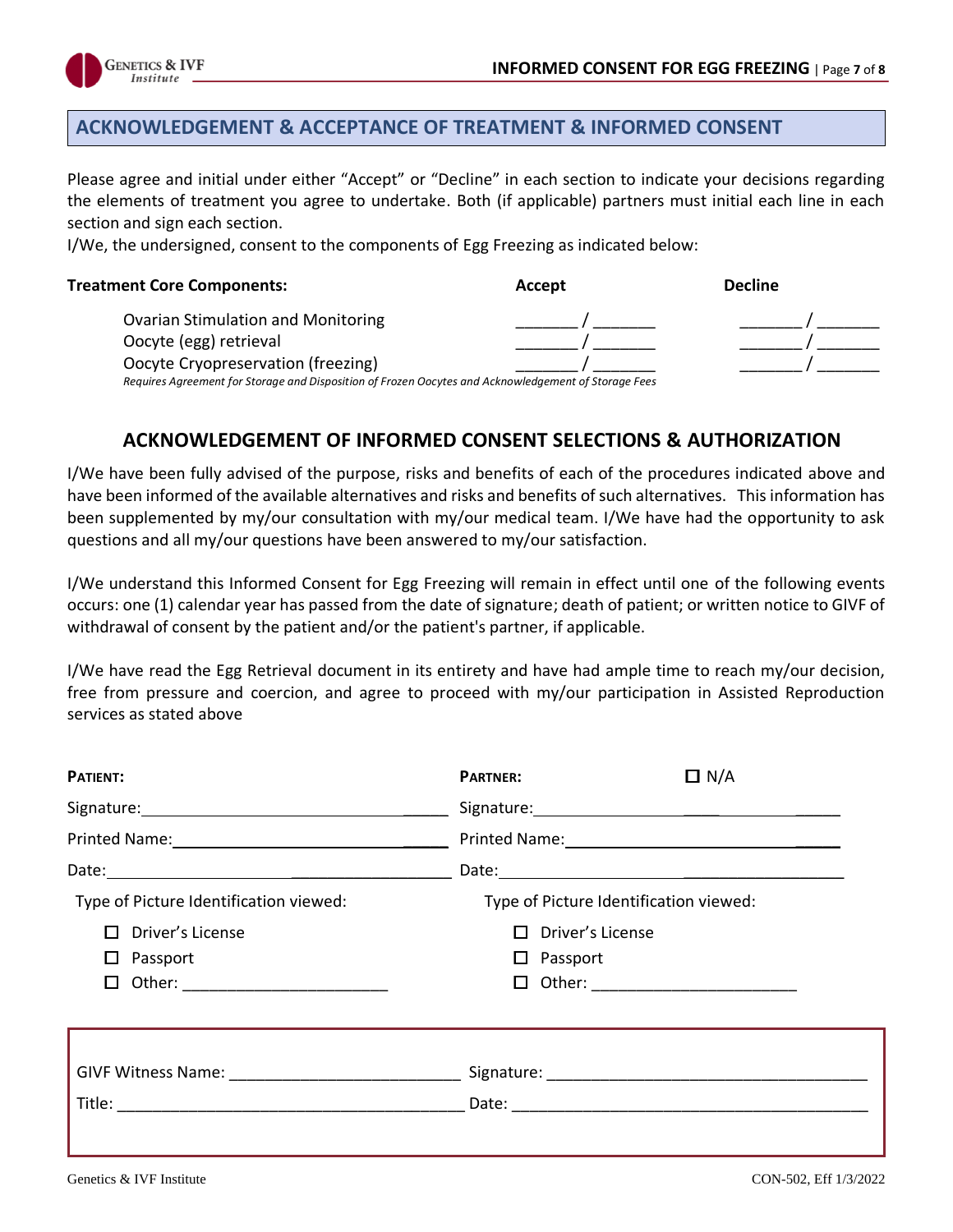

## **ACKNOWLEDGEMENT & ACCEPTANCE OF TREATMENT & INFORMED CONSENT**

Please agree and initial under either "Accept" or "Decline" in each section to indicate your decisions regarding the elements of treatment you agree to undertake. Both (if applicable) partners must initial each line in each section and sign each section.

I/We, the undersigned, consent to the components of Egg Freezing as indicated below:

| <b>Treatment Core Components:</b>                                                                    | Accept | <b>Decline</b> |  |
|------------------------------------------------------------------------------------------------------|--------|----------------|--|
| <b>Ovarian Stimulation and Monitoring</b>                                                            |        |                |  |
| Oocyte (egg) retrieval                                                                               |        |                |  |
| Oocyte Cryopreservation (freezing)                                                                   |        |                |  |
| Requires Agreement for Storage and Disposition of Frozen Oocytes and Acknowledgement of Storage Fees |        |                |  |

## **ACKNOWLEDGEMENT OF INFORMED CONSENT SELECTIONS & AUTHORIZATION**

I/We have been fully advised of the purpose, risks and benefits of each of the procedures indicated above and have been informed of the available alternatives and risks and benefits of such alternatives. This information has been supplemented by my/our consultation with my/our medical team. I/We have had the opportunity to ask questions and all my/our questions have been answered to my/our satisfaction.

I/We understand this Informed Consent for Egg Freezing will remain in effect until one of the following events occurs: one (1) calendar year has passed from the date of signature; death of patient; or written notice to GIVF of withdrawal of consent by the patient and/or the patient's partner, if applicable.

I/We have read the Egg Retrieval document in its entirety and have had ample time to reach my/our decision, free from pressure and coercion, and agree to proceed with my/our participation in Assisted Reproduction services as stated above

| PATIENT:                               | <b>PARTNER:</b>         | $\Box N/A$                             |  |  |
|----------------------------------------|-------------------------|----------------------------------------|--|--|
|                                        |                         |                                        |  |  |
|                                        |                         |                                        |  |  |
|                                        |                         |                                        |  |  |
| Type of Picture Identification viewed: |                         | Type of Picture Identification viewed: |  |  |
| $\Box$ Driver's License                | $\Box$ Driver's License |                                        |  |  |
| Passport<br>ப                          | $\Box$ Passport         |                                        |  |  |
| $\Box$                                 |                         |                                        |  |  |
|                                        |                         |                                        |  |  |
|                                        |                         |                                        |  |  |
|                                        |                         |                                        |  |  |